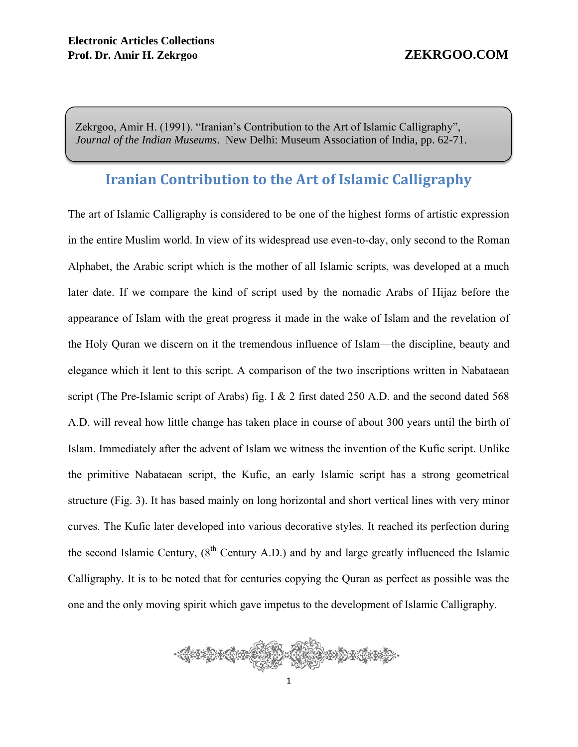Zekrgoo, Amir H. (1991). "Iranian's Contribution to the Art of Islamic Calligraphy", *Journal of the Indian Museums*. New Delhi: Museum Association of India, pp. 62-71.

# **Iranian Contribution to the Art of Islamic Calligraphy**

The art of Islamic Calligraphy is considered to be one of the highest forms of artistic expression in the entire Muslim world. In view of its widespread use even-to-day, only second to the Roman Alphabet, the Arabic script which is the mother of all Islamic scripts, was developed at a much later date. If we compare the kind of script used by the nomadic Arabs of Hijaz before the appearance of Islam with the great progress it made in the wake of Islam and the revelation of the Holy Quran we discern on it the tremendous influence of Islam—the discipline, beauty and elegance which it lent to this script. A comparison of the two inscriptions written in Nabataean script (The Pre-Islamic script of Arabs) fig. I & 2 first dated 250 A.D. and the second dated 568 A.D. will reveal how little change has taken place in course of about 300 years until the birth of Islam. Immediately after the advent of Islam we witness the invention of the Kufic script. Unlike the primitive Nabataean script, the Kufic, an early Islamic script has a strong geometrical structure (Fig. 3). It has based mainly on long horizontal and short vertical lines with very minor curves. The Kufic later developed into various decorative styles. It reached its perfection during the second Islamic Century,  $(8^{th}$  Century A.D.) and by and large greatly influenced the Islamic Calligraphy. It is to be noted that for centuries copying the Quran as perfect as possible was the one and the only moving spirit which gave impetus to the development of Islamic Calligraphy.

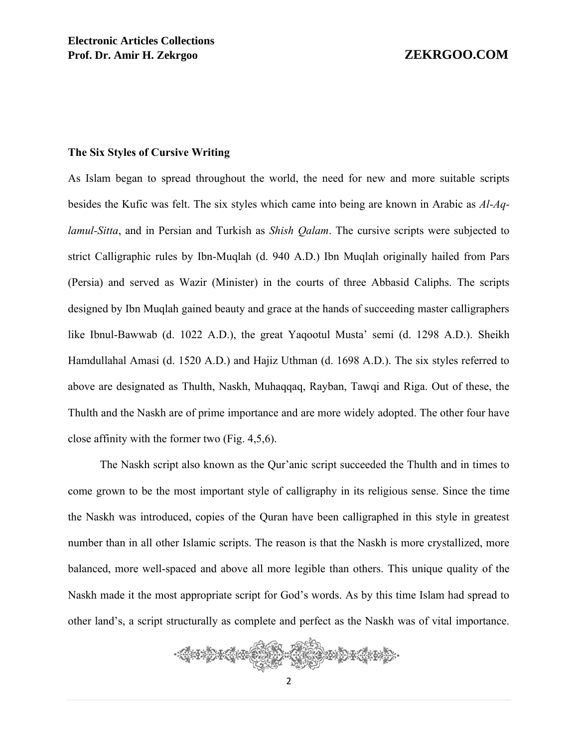### **The Six Styles of Cursive Writing**

As Islam began to spread throughout the world, the need for new and more suitable scripts besides the Kufic was felt. The six styles which came into being are known in Arabic as *Al-Aqlamul-Sitta*, and in Persian and Turkish as *Shish Qalam*. The cursive scripts were subjected to strict Calligraphic rules by Ibn-Muqlah (d. 940 A.D.) Ibn Muqlah originally hailed from Pars (Persia) and served as Wazir (Minister) in the courts of three Abbasid Caliphs. The scripts designed by Ibn Muqlah gained beauty and grace at the hands of succeeding master calligraphers like Ibnul-Bawwab (d. 1022 A.D.), the great Yaqootul Musta' semi (d. 1298 A.D.). Sheikh Hamdullahal Amasi (d. 1520 A.D.) and Hajiz Uthman (d. 1698 A.D.). The six styles referred to above are designated as Thulth, Naskh, Muhaqqaq, Rayban, Tawqi and Riga. Out of these, the Thulth and the Naskh are of prime importance and are more widely adopted. The other four have close affinity with the former two (Fig. 4,5,6).

The Naskh script also known as the Qur'anic script succeeded the Thulth and in times to come grown to be the most important style of calligraphy in its religious sense. Since the time the Naskh was introduced, copies of the Quran have been calligraphed in this style in greatest number than in all other Islamic scripts. The reason is that the Naskh is more crystallized, more balanced, more well-spaced and above all more legible than others. This unique quality of the Naskh made it the most appropriate script for God's words. As by this time Islam had spread to other land's, a script structurally as complete and perfect as the Naskh was of vital importance.

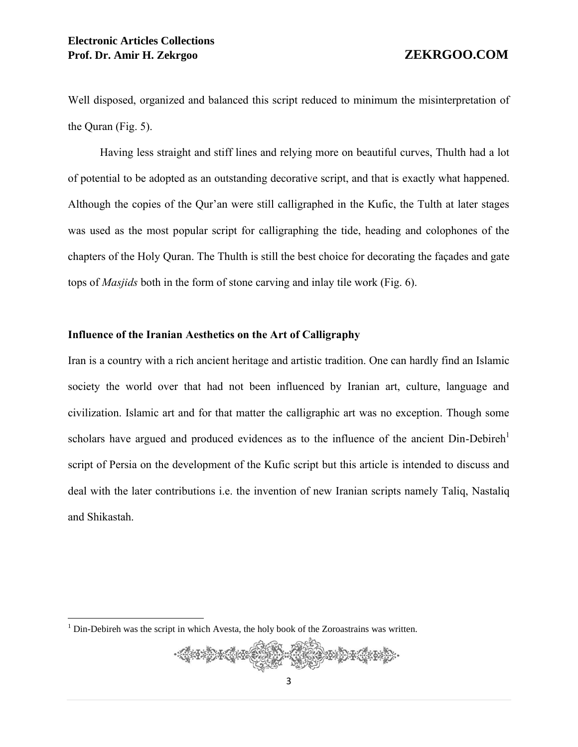Well disposed, organized and balanced this script reduced to minimum the misinterpretation of the Quran (Fig. 5).

Having less straight and stiff lines and relying more on beautiful curves, Thulth had a lot of potential to be adopted as an outstanding decorative script, and that is exactly what happened. Although the copies of the Qur'an were still calligraphed in the Kufic, the Tulth at later stages was used as the most popular script for calligraphing the tide, heading and colophones of the chapters of the Holy Quran. The Thulth is still the best choice for decorating the façades and gate tops of *Masjids* both in the form of stone carving and inlay tile work (Fig. 6).

## **Influence of the Iranian Aesthetics on the Art of Calligraphy**

Iran is a country with a rich ancient heritage and artistic tradition. One can hardly find an Islamic society the world over that had not been influenced by Iranian art, culture, language and civilization. Islamic art and for that matter the calligraphic art was no exception. Though some scholars have argued and produced evidences as to the influence of the ancient  $D$ in-Debireh<sup>1</sup> script of Persia on the development of the Kufic script but this article is intended to discuss and deal with the later contributions i.e. the invention of new Iranian scripts namely Taliq, Nastaliq and Shikastah.

 $\overline{a}$ 



 $1$  Din-Debireh was the script in which Avesta, the holy book of the Zoroastrains was written.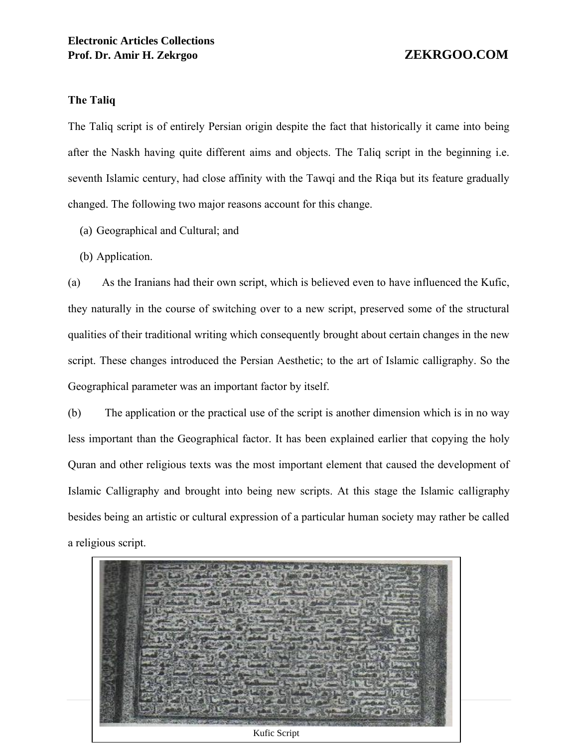## **The Taliq**

The Taliq script is of entirely Persian origin despite the fact that historically it came into being after the Naskh having quite different aims and objects. The Taliq script in the beginning i.e. seventh Islamic century, had close affinity with the Tawqi and the Riqa but its feature gradually changed. The following two major reasons account for this change.

- (a) Geographical and Cultural; and
- (b) Application.

(a) As the Iranians had their own script, which is believed even to have influenced the Kufic, they naturally in the course of switching over to a new script, preserved some of the structural qualities of their traditional writing which consequently brought about certain changes in the new script. These changes introduced the Persian Aesthetic; to the art of Islamic calligraphy. So the Geographical parameter was an important factor by itself.

(b) The application or the practical use of the script is another dimension which is in no way less important than the Geographical factor. It has been explained earlier that copying the holy Quran and other religious texts was the most important element that caused the development of Islamic Calligraphy and brought into being new scripts. At this stage the Islamic calligraphy besides being an artistic or cultural expression of a particular human society may rather be called a religious script.

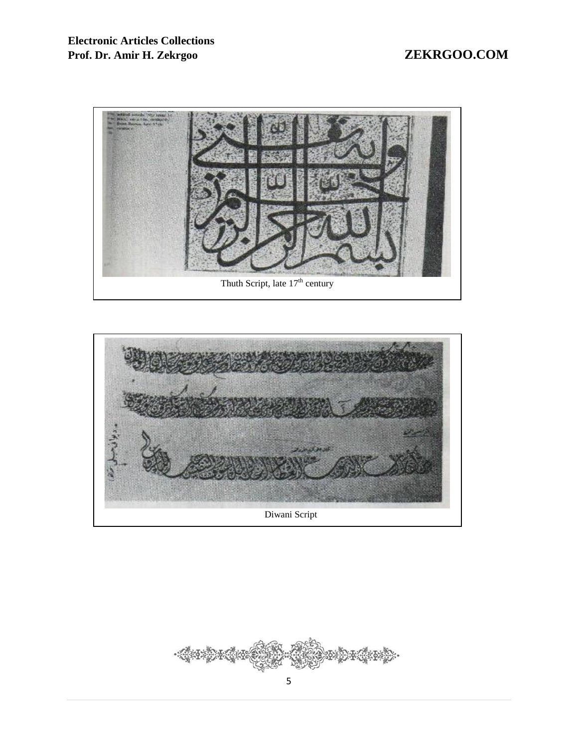



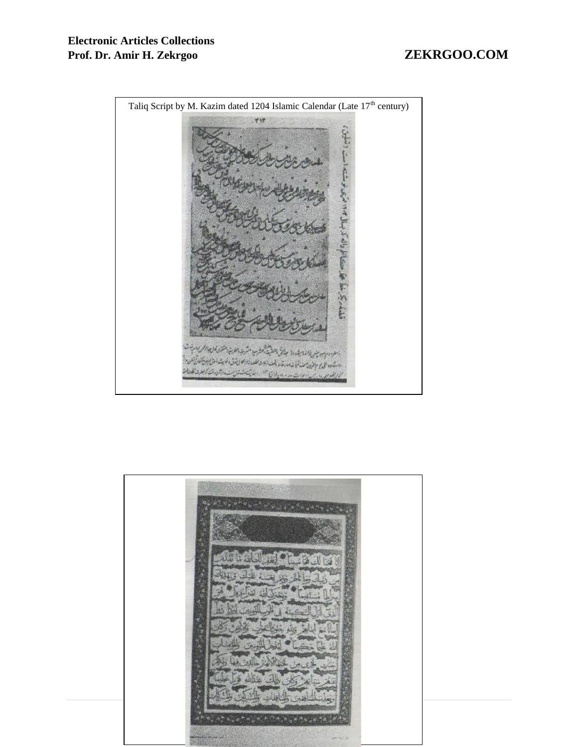

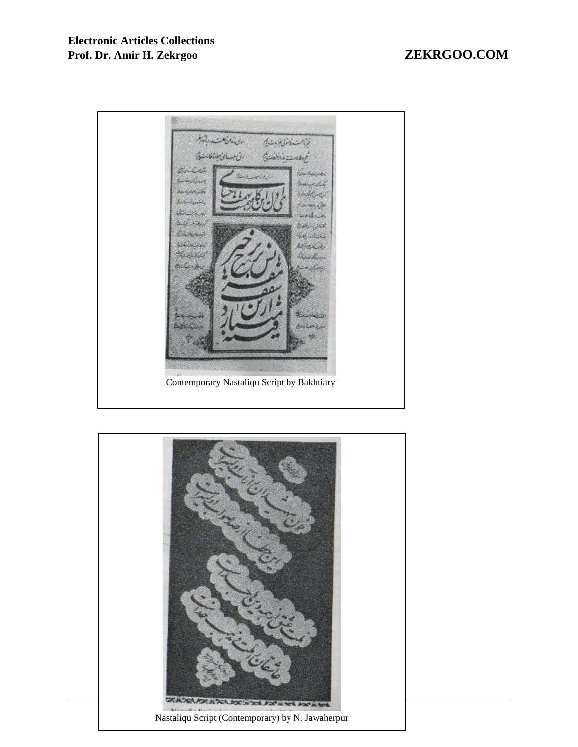

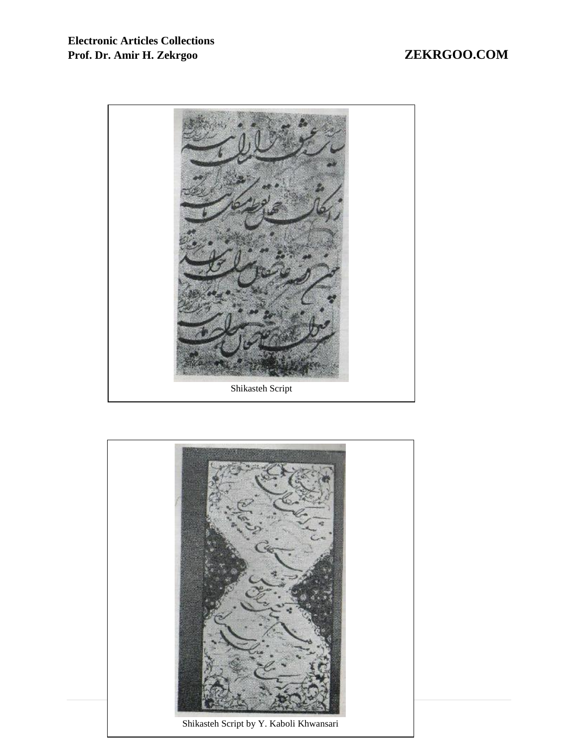

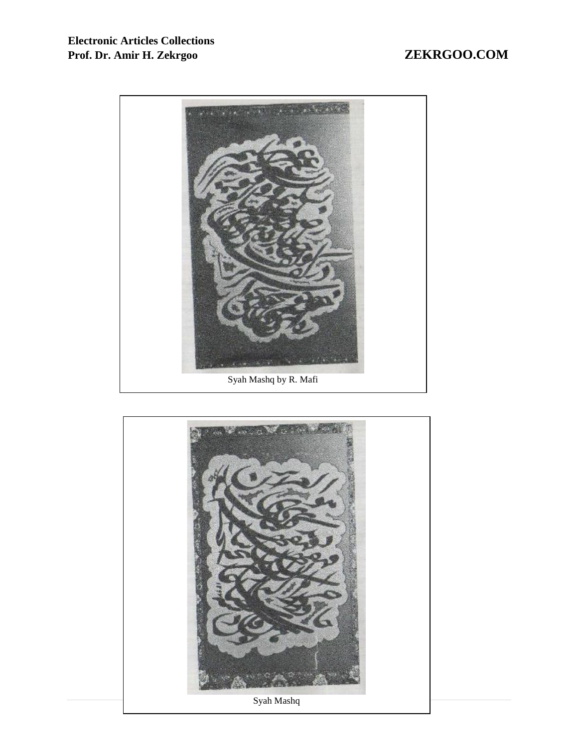

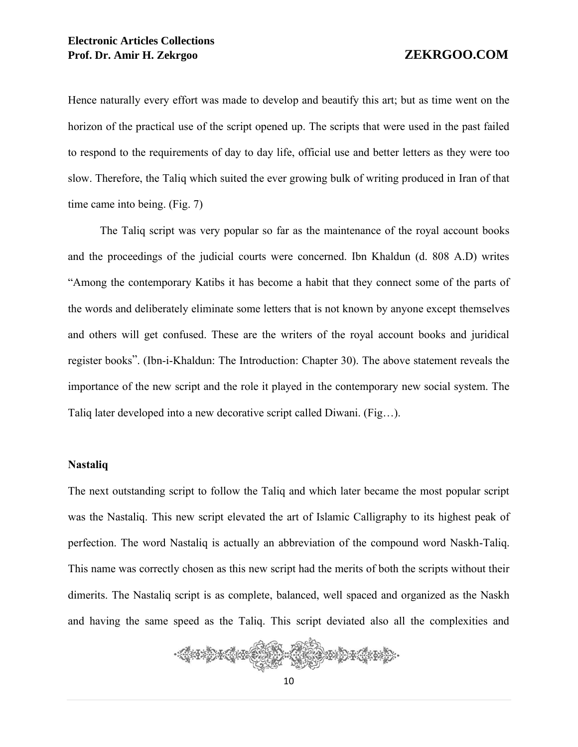Hence naturally every effort was made to develop and beautify this art; but as time went on the horizon of the practical use of the script opened up. The scripts that were used in the past failed to respond to the requirements of day to day life, official use and better letters as they were too slow. Therefore, the Taliq which suited the ever growing bulk of writing produced in Iran of that time came into being. (Fig. 7)

The Taliq script was very popular so far as the maintenance of the royal account books and the proceedings of the judicial courts were concerned. Ibn Khaldun (d. 808 A.D) writes "Among the contemporary Katibs it has become a habit that they connect some of the parts of the words and deliberately eliminate some letters that is not known by anyone except themselves and others will get confused. These are the writers of the royal account books and juridical register books". (Ibn-i-Khaldun: The Introduction: Chapter 30). The above statement reveals the importance of the new script and the role it played in the contemporary new social system. The Taliq later developed into a new decorative script called Diwani. (Fig…).

### **Nastaliq**

The next outstanding script to follow the Taliq and which later became the most popular script was the Nastaliq. This new script elevated the art of Islamic Calligraphy to its highest peak of perfection. The word Nastaliq is actually an abbreviation of the compound word Naskh-Taliq. This name was correctly chosen as this new script had the merits of both the scripts without their dimerits. The Nastaliq script is as complete, balanced, well spaced and organized as the Naskh and having the same speed as the Taliq. This script deviated also all the complexities and

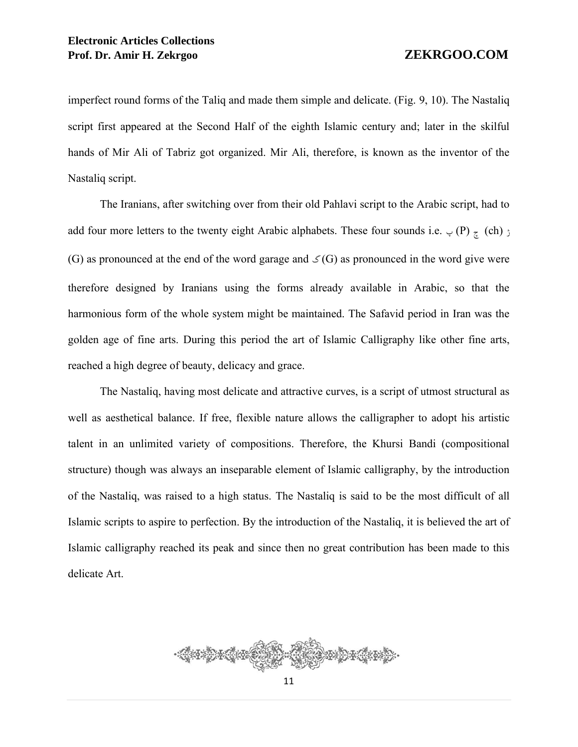imperfect round forms of the Taliq and made them simple and delicate. (Fig. 9, 10). The Nastaliq script first appeared at the Second Half of the eighth Islamic century and; later in the skilful hands of Mir Ali of Tabriz got organized. Mir Ali, therefore, is known as the inventor of the Nastaliq script.

The Iranians, after switching over from their old Pahlavi script to the Arabic script, had to add four more letters to the twenty eight Arabic alphabets. These four sounds i.e.  $\varphi$  (P)  $\pi$  (ch)  $\varphi$ (G) as pronounced at the end of the word garage and  $\mathcal{S}(G)$  as pronounced in the word give were therefore designed by Iranians using the forms already available in Arabic, so that the harmonious form of the whole system might be maintained. The Safavid period in Iran was the golden age of fine arts. During this period the art of Islamic Calligraphy like other fine arts, reached a high degree of beauty, delicacy and grace.

The Nastaliq, having most delicate and attractive curves, is a script of utmost structural as well as aesthetical balance. If free, flexible nature allows the calligrapher to adopt his artistic talent in an unlimited variety of compositions. Therefore, the Khursi Bandi (compositional structure) though was always an inseparable element of Islamic calligraphy, by the introduction of the Nastaliq, was raised to a high status. The Nastaliq is said to be the most difficult of all Islamic scripts to aspire to perfection. By the introduction of the Nastaliq, it is believed the art of Islamic calligraphy reached its peak and since then no great contribution has been made to this delicate Art.

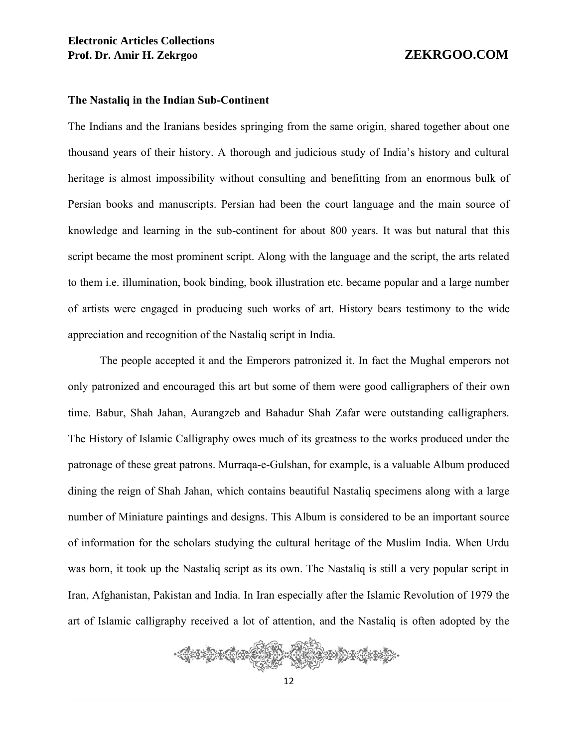### **The Nastaliq in the Indian Sub-Continent**

The Indians and the Iranians besides springing from the same origin, shared together about one thousand years of their history. A thorough and judicious study of India's history and cultural heritage is almost impossibility without consulting and benefitting from an enormous bulk of Persian books and manuscripts. Persian had been the court language and the main source of knowledge and learning in the sub-continent for about 800 years. It was but natural that this script became the most prominent script. Along with the language and the script, the arts related to them i.e. illumination, book binding, book illustration etc. became popular and a large number of artists were engaged in producing such works of art. History bears testimony to the wide appreciation and recognition of the Nastaliq script in India.

The people accepted it and the Emperors patronized it. In fact the Mughal emperors not only patronized and encouraged this art but some of them were good calligraphers of their own time. Babur, Shah Jahan, Aurangzeb and Bahadur Shah Zafar were outstanding calligraphers. The History of Islamic Calligraphy owes much of its greatness to the works produced under the patronage of these great patrons. Murraqa-e-Gulshan, for example, is a valuable Album produced dining the reign of Shah Jahan, which contains beautiful Nastaliq specimens along with a large number of Miniature paintings and designs. This Album is considered to be an important source of information for the scholars studying the cultural heritage of the Muslim India. When Urdu was born, it took up the Nastaliq script as its own. The Nastaliq is still a very popular script in Iran, Afghanistan, Pakistan and India. In Iran especially after the Islamic Revolution of 1979 the art of Islamic calligraphy received a lot of attention, and the Nastaliq is often adopted by the

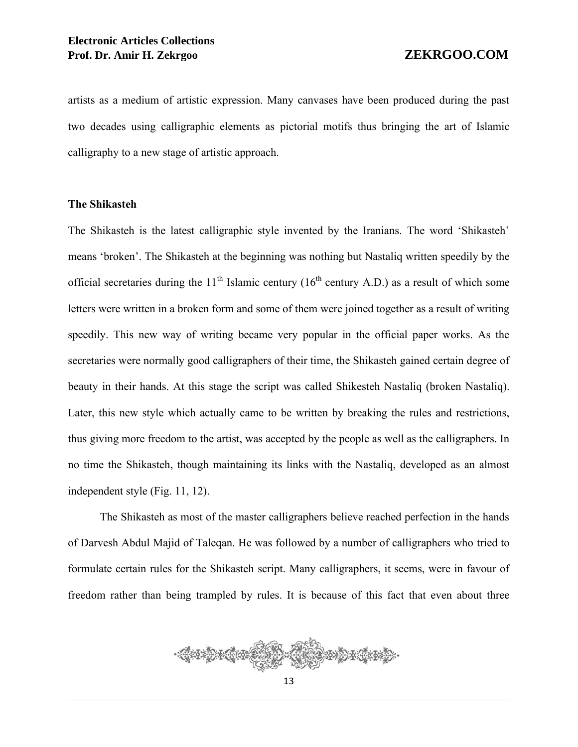artists as a medium of artistic expression. Many canvases have been produced during the past two decades using calligraphic elements as pictorial motifs thus bringing the art of Islamic calligraphy to a new stage of artistic approach.

## **The Shikasteh**

The Shikasteh is the latest calligraphic style invented by the Iranians. The word 'Shikasteh' means 'broken'. The Shikasteh at the beginning was nothing but Nastaliq written speedily by the official secretaries during the  $11<sup>th</sup>$  Islamic century (16<sup>th</sup> century A.D.) as a result of which some letters were written in a broken form and some of them were joined together as a result of writing speedily. This new way of writing became very popular in the official paper works. As the secretaries were normally good calligraphers of their time, the Shikasteh gained certain degree of beauty in their hands. At this stage the script was called Shikesteh Nastaliq (broken Nastaliq). Later, this new style which actually came to be written by breaking the rules and restrictions, thus giving more freedom to the artist, was accepted by the people as well as the calligraphers. In no time the Shikasteh, though maintaining its links with the Nastaliq, developed as an almost independent style (Fig. 11, 12).

The Shikasteh as most of the master calligraphers believe reached perfection in the hands of Darvesh Abdul Majid of Taleqan. He was followed by a number of calligraphers who tried to formulate certain rules for the Shikasteh script. Many calligraphers, it seems, were in favour of freedom rather than being trampled by rules. It is because of this fact that even about three

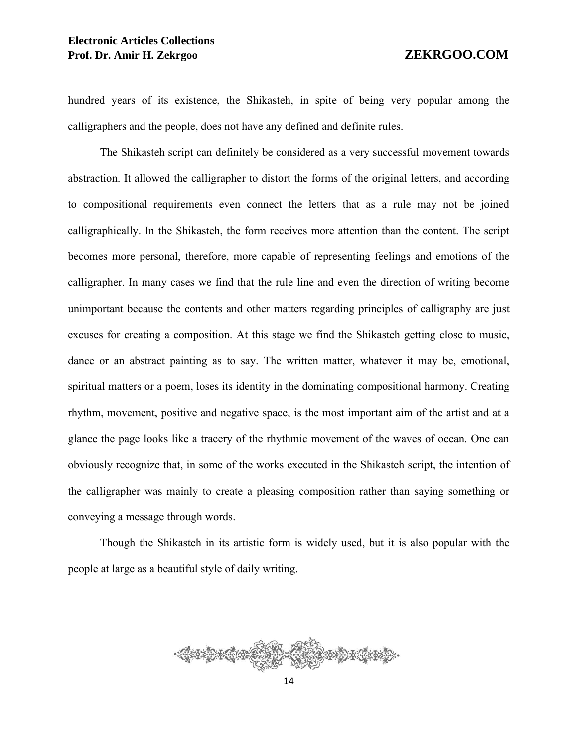hundred years of its existence, the Shikasteh, in spite of being very popular among the calligraphers and the people, does not have any defined and definite rules.

The Shikasteh script can definitely be considered as a very successful movement towards abstraction. It allowed the calligrapher to distort the forms of the original letters, and according to compositional requirements even connect the letters that as a rule may not be joined calligraphically. In the Shikasteh, the form receives more attention than the content. The script becomes more personal, therefore, more capable of representing feelings and emotions of the calligrapher. In many cases we find that the rule line and even the direction of writing become unimportant because the contents and other matters regarding principles of calligraphy are just excuses for creating a composition. At this stage we find the Shikasteh getting close to music, dance or an abstract painting as to say. The written matter, whatever it may be, emotional, spiritual matters or a poem, loses its identity in the dominating compositional harmony. Creating rhythm, movement, positive and negative space, is the most important aim of the artist and at a glance the page looks like a tracery of the rhythmic movement of the waves of ocean. One can obviously recognize that, in some of the works executed in the Shikasteh script, the intention of the calligrapher was mainly to create a pleasing composition rather than saying something or conveying a message through words.

Though the Shikasteh in its artistic form is widely used, but it is also popular with the people at large as a beautiful style of daily writing.

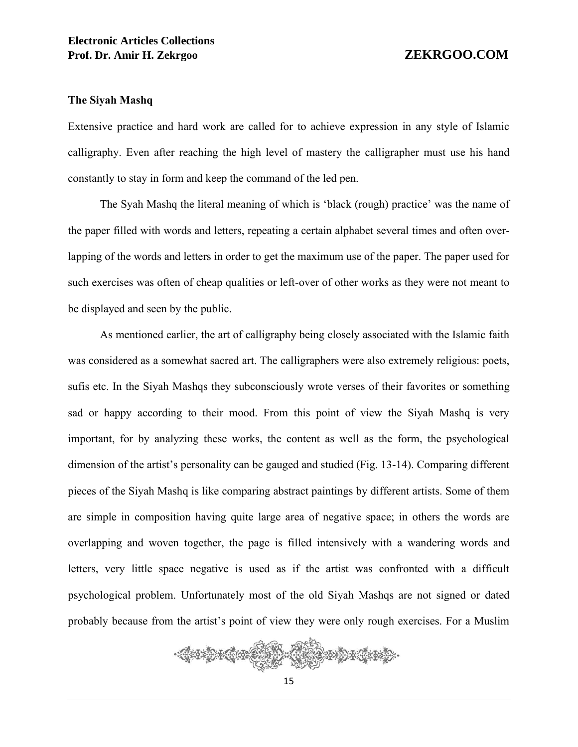### **The Siyah Mashq**

Extensive practice and hard work are called for to achieve expression in any style of Islamic calligraphy. Even after reaching the high level of mastery the calligrapher must use his hand constantly to stay in form and keep the command of the led pen.

The Syah Mashq the literal meaning of which is 'black (rough) practice' was the name of the paper filled with words and letters, repeating a certain alphabet several times and often overlapping of the words and letters in order to get the maximum use of the paper. The paper used for such exercises was often of cheap qualities or left-over of other works as they were not meant to be displayed and seen by the public.

As mentioned earlier, the art of calligraphy being closely associated with the Islamic faith was considered as a somewhat sacred art. The calligraphers were also extremely religious: poets, sufis etc. In the Siyah Mashqs they subconsciously wrote verses of their favorites or something sad or happy according to their mood. From this point of view the Siyah Mashq is very important, for by analyzing these works, the content as well as the form, the psychological dimension of the artist's personality can be gauged and studied (Fig. 13-14). Comparing different pieces of the Siyah Mashq is like comparing abstract paintings by different artists. Some of them are simple in composition having quite large area of negative space; in others the words are overlapping and woven together, the page is filled intensively with a wandering words and letters, very little space negative is used as if the artist was confronted with a difficult psychological problem. Unfortunately most of the old Siyah Mashqs are not signed or dated probably because from the artist's point of view they were only rough exercises. For a Muslim